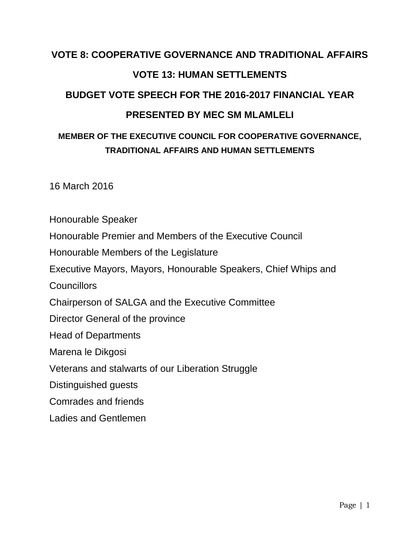# **VOTE 8: COOPERATIVE GOVERNANCE AND TRADITIONAL AFFAIRS VOTE 13: HUMAN SETTLEMENTS BUDGET VOTE SPEECH FOR THE 2016-2017 FINANCIAL YEAR PRESENTED BY MEC SM MLAMLELI**

## **MEMBER OF THE EXECUTIVE COUNCIL FOR COOPERATIVE GOVERNANCE, TRADITIONAL AFFAIRS AND HUMAN SETTLEMENTS**

16 March 2016

Honourable Speaker

Honourable Premier and Members of the Executive Council

Honourable Members of the Legislature

Executive Mayors, Mayors, Honourable Speakers, Chief Whips and

**Councillors** 

Chairperson of SALGA and the Executive Committee

Director General of the province

Head of Departments

Marena le Dikgosi

Veterans and stalwarts of our Liberation Struggle

Distinguished guests

Comrades and friends

Ladies and Gentlemen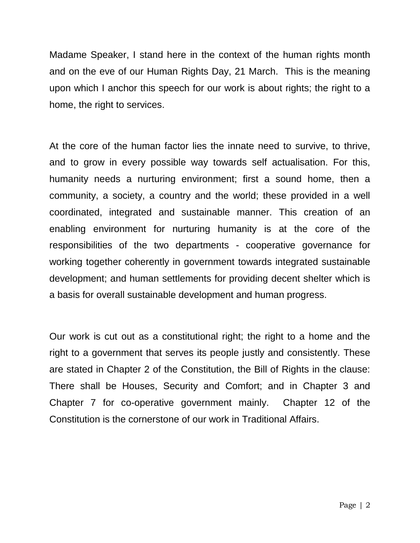Madame Speaker, I stand here in the context of the human rights month and on the eve of our Human Rights Day, 21 March. This is the meaning upon which I anchor this speech for our work is about rights; the right to a home, the right to services.

At the core of the human factor lies the innate need to survive, to thrive, and to grow in every possible way towards self actualisation. For this, humanity needs a nurturing environment; first a sound home, then a community, a society, a country and the world; these provided in a well coordinated, integrated and sustainable manner. This creation of an enabling environment for nurturing humanity is at the core of the responsibilities of the two departments - cooperative governance for working together coherently in government towards integrated sustainable development; and human settlements for providing decent shelter which is a basis for overall sustainable development and human progress.

Our work is cut out as a constitutional right; the right to a home and the right to a government that serves its people justly and consistently. These are stated in Chapter 2 of the Constitution, the Bill of Rights in the clause: There shall be Houses, Security and Comfort; and in Chapter 3 and Chapter 7 for co-operative government mainly. Chapter 12 of the Constitution is the cornerstone of our work in Traditional Affairs.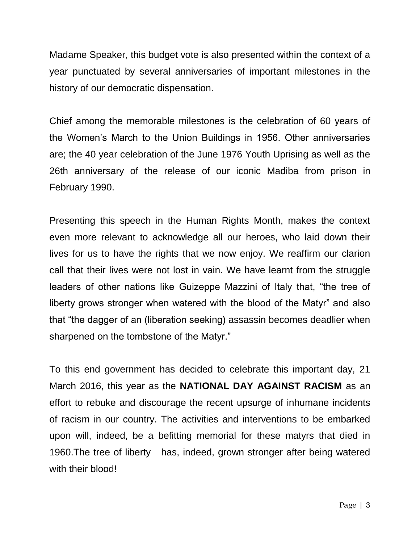Madame Speaker, this budget vote is also presented within the context of a year punctuated by several anniversaries of important milestones in the history of our democratic dispensation.

Chief among the memorable milestones is the celebration of 60 years of the Women's March to the Union Buildings in 1956. Other anniversaries are; the 40 year celebration of the June 1976 Youth Uprising as well as the 26th anniversary of the release of our iconic Madiba from prison in February 1990.

Presenting this speech in the Human Rights Month, makes the context even more relevant to acknowledge all our heroes, who laid down their lives for us to have the rights that we now enjoy. We reaffirm our clarion call that their lives were not lost in vain. We have learnt from the struggle leaders of other nations like Guizeppe Mazzini of Italy that, "the tree of liberty grows stronger when watered with the blood of the Matyr" and also that "the dagger of an (liberation seeking) assassin becomes deadlier when sharpened on the tombstone of the Matyr."

To this end government has decided to celebrate this important day, 21 March 2016, this year as the **NATIONAL DAY AGAINST RACISM** as an effort to rebuke and discourage the recent upsurge of inhumane incidents of racism in our country. The activities and interventions to be embarked upon will, indeed, be a befitting memorial for these matyrs that died in 1960.The tree of liberty has, indeed, grown stronger after being watered with their blood!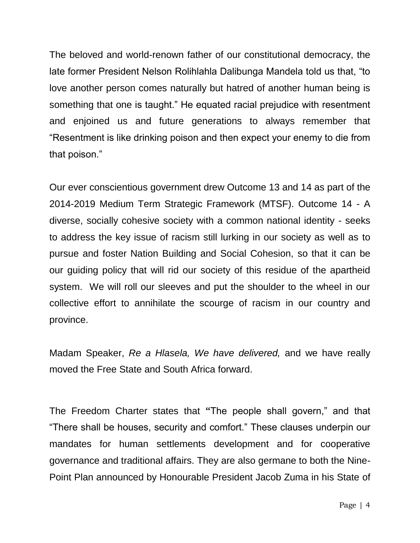The beloved and world-renown father of our constitutional democracy, the late former President Nelson Rolihlahla Dalibunga Mandela told us that, "to love another person comes naturally but hatred of another human being is something that one is taught." He equated racial prejudice with resentment and enjoined us and future generations to always remember that "Resentment is like drinking poison and then expect your enemy to die from that poison."

Our ever conscientious government drew Outcome 13 and 14 as part of the 2014-2019 Medium Term Strategic Framework (MTSF). Outcome 14 - A diverse, socially cohesive society with a common national identity - seeks to address the key issue of racism still lurking in our society as well as to pursue and foster Nation Building and Social Cohesion, so that it can be our guiding policy that will rid our society of this residue of the apartheid system. We will roll our sleeves and put the shoulder to the wheel in our collective effort to annihilate the scourge of racism in our country and province.

Madam Speaker, *Re a Hlasela, We have delivered,* and we have really moved the Free State and South Africa forward.

The Freedom Charter states that **"**The people shall govern," and that "There shall be houses, security and comfort." These clauses underpin our mandates for human settlements development and for cooperative governance and traditional affairs. They are also germane to both the Nine-Point Plan announced by Honourable President Jacob Zuma in his State of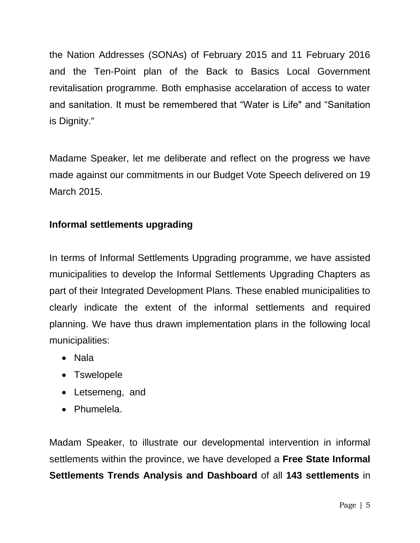the Nation Addresses (SONAs) of February 2015 and 11 February 2016 and the Ten-Point plan of the Back to Basics Local Government revitalisation programme. Both emphasise accelaration of access to water and sanitation. It must be remembered that "Water is Life" and "Sanitation is Dignity."

Madame Speaker, let me deliberate and reflect on the progress we have made against our commitments in our Budget Vote Speech delivered on 19 March 2015.

## **Informal settlements upgrading**

In terms of Informal Settlements Upgrading programme, we have assisted municipalities to develop the Informal Settlements Upgrading Chapters as part of their Integrated Development Plans. These enabled municipalities to clearly indicate the extent of the informal settlements and required planning. We have thus drawn implementation plans in the following local municipalities:

- Nala
- Tswelopele
- Letsemeng, and
- Phumelela.

Madam Speaker, to illustrate our developmental intervention in informal settlements within the province, we have developed a **Free State Informal Settlements Trends Analysis and Dashboard** of all **143 settlements** in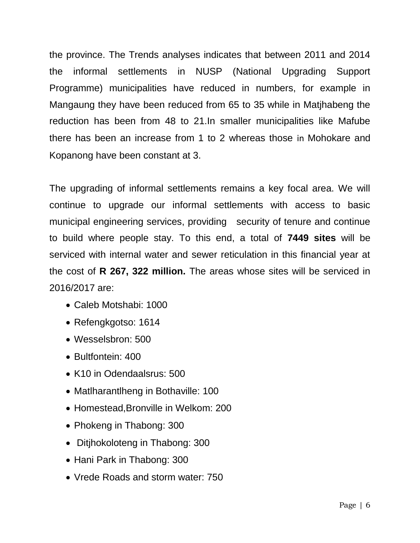the province. The Trends analyses indicates that between 2011 and 2014 the informal settlements in NUSP (National Upgrading Support Programme) municipalities have reduced in numbers, for example in Mangaung they have been reduced from 65 to 35 while in Matjhabeng the reduction has been from 48 to 21.In smaller municipalities like Mafube there has been an increase from 1 to 2 whereas those in Mohokare and Kopanong have been constant at 3.

The upgrading of informal settlements remains a key focal area. We will continue to upgrade our informal settlements with access to basic municipal engineering services, providing security of tenure and continue to build where people stay. To this end, a total of **7449 sites** will be serviced with internal water and sewer reticulation in this financial year at the cost of **R 267, 322 million.** The areas whose sites will be serviced in 2016/2017 are:

- Caleb Motshabi: 1000
- Refengkgotso: 1614
- Wesselsbron: 500
- Bultfontein: 400
- K10 in Odendaalsrus: 500
- Matlharantlheng in Bothaville: 100
- Homestead,Bronville in Welkom: 200
- Phokeng in Thabong: 300
- Ditjhokoloteng in Thabong: 300
- Hani Park in Thabong: 300
- Vrede Roads and storm water: 750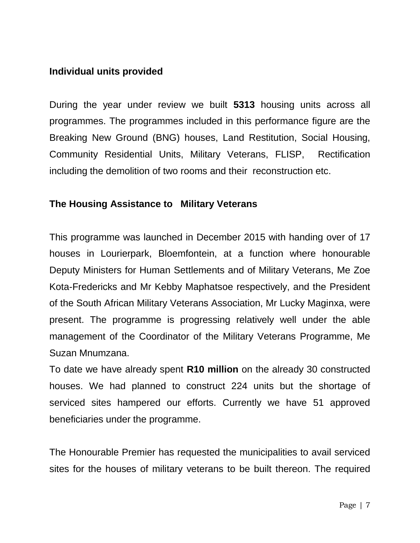## **Individual units provided**

During the year under review we built **5313** housing units across all programmes. The programmes included in this performance figure are the Breaking New Ground (BNG) houses, Land Restitution, Social Housing, Community Residential Units, Military Veterans, FLISP, Rectification including the demolition of two rooms and their reconstruction etc.

## **The Housing Assistance to Military Veterans**

This programme was launched in December 2015 with handing over of 17 houses in Lourierpark, Bloemfontein, at a function where honourable Deputy Ministers for Human Settlements and of Military Veterans, Me Zoe Kota-Fredericks and Mr Kebby Maphatsoe respectively, and the President of the South African Military Veterans Association, Mr Lucky Maginxa, were present. The programme is progressing relatively well under the able management of the Coordinator of the Military Veterans Programme, Me Suzan Mnumzana.

To date we have already spent **R10 million** on the already 30 constructed houses. We had planned to construct 224 units but the shortage of serviced sites hampered our efforts. Currently we have 51 approved beneficiaries under the programme.

The Honourable Premier has requested the municipalities to avail serviced sites for the houses of military veterans to be built thereon. The required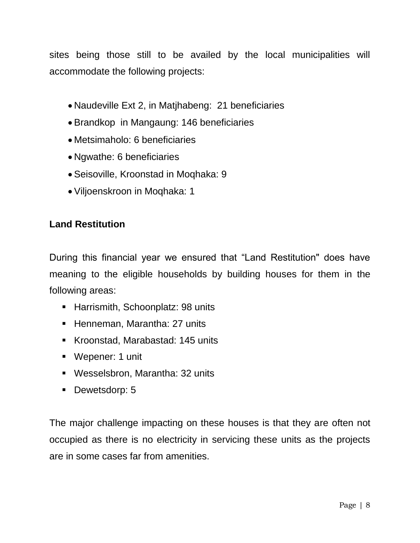sites being those still to be availed by the local municipalities will accommodate the following projects:

- Naudeville Ext 2, in Matihabeng: 21 beneficiaries
- Brandkop in Mangaung: 146 beneficiaries
- Metsimaholo: 6 beneficiaries
- Ngwathe: 6 beneficiaries
- Seisoville, Kroonstad in Moqhaka: 9
- Viljoenskroon in Moqhaka: 1

## **Land Restitution**

During this financial year we ensured that "Land Restitution" does have meaning to the eligible households by building houses for them in the following areas:

- **Harrismith, Schoonplatz: 98 units**
- **Henneman, Marantha: 27 units**
- Kroonstad, Marabastad: 145 units
- Wepener: 1 unit
- Wesselsbron, Marantha: 32 units
- Dewetsdorp: 5

The major challenge impacting on these houses is that they are often not occupied as there is no electricity in servicing these units as the projects are in some cases far from amenities.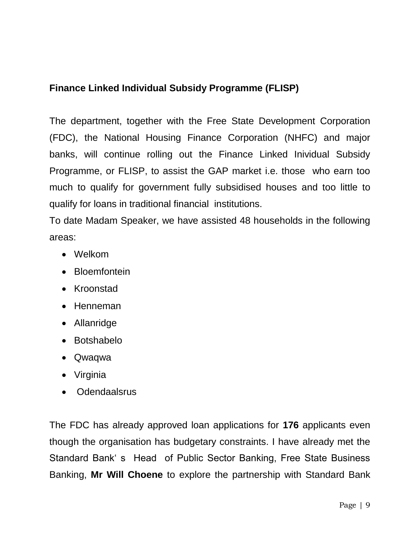## **Finance Linked Individual Subsidy Programme (FLISP)**

The department, together with the Free State Development Corporation (FDC), the National Housing Finance Corporation (NHFC) and major banks, will continue rolling out the Finance Linked Inividual Subsidy Programme, or FLISP, to assist the GAP market i.e. those who earn too much to qualify for government fully subsidised houses and too little to qualify for loans in traditional financial institutions.

To date Madam Speaker, we have assisted 48 households in the following areas:

- Welkom
- Bloemfontein
- Kroonstad
- Henneman
- Allanridge
- Botshabelo
- Qwaqwa
- Virginia
- Odendaalsrus

The FDC has already approved loan applications for **176** applicants even though the organisation has budgetary constraints. I have already met the Standard Bank' s Head of Public Sector Banking, Free State Business Banking, **Mr Will Choene** to explore the partnership with Standard Bank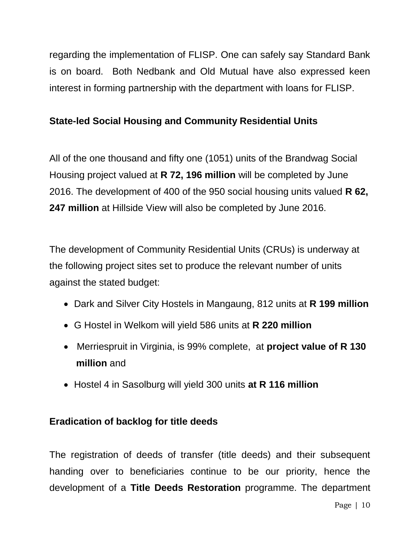regarding the implementation of FLISP. One can safely say Standard Bank is on board. Both Nedbank and Old Mutual have also expressed keen interest in forming partnership with the department with loans for FLISP.

## **State-led Social Housing and Community Residential Units**

All of the one thousand and fifty one (1051) units of the Brandwag Social Housing project valued at **R 72, 196 million** will be completed by June 2016. The development of 400 of the 950 social housing units valued **R 62, 247 million** at Hillside View will also be completed by June 2016.

The development of Community Residential Units (CRUs) is underway at the following project sites set to produce the relevant number of units against the stated budget:

- Dark and Silver City Hostels in Mangaung, 812 units at **R 199 million**
- G Hostel in Welkom will yield 586 units at **R 220 million**
- Merriespruit in Virginia, is 99% complete, at **project value of R 130 million** and
- Hostel 4 in Sasolburg will yield 300 units **at R 116 million**

## **Eradication of backlog for title deeds**

The registration of deeds of transfer (title deeds) and their subsequent handing over to beneficiaries continue to be our priority, hence the development of a **Title Deeds Restoration** programme. The department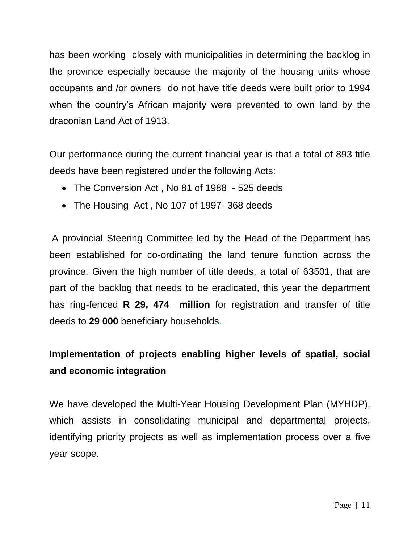has been working closely with municipalities in determining the backlog in the province especially because the majority of the housing units whose occupants and /or owners do not have title deeds were built prior to 1994 when the country's African majority were prevented to own land by the draconian Land Act of 1913.

Our performance during the current financial year is that a total of 893 title deeds have been registered under the following Acts:

- The Conversion Act, No 81 of 1988 525 deeds
- The Housing Act, No 107 of 1997-368 deeds

A provincial Steering Committee led by the Head of the Department has been established for co-ordinating the land tenure function across the province. Given the high number of title deeds, a total of 63501, that are part of the backlog that needs to be eradicated, this year the department has ring-fenced **R 29, 474 million** for registration and transfer of title deeds to **29 000** beneficiary households.

## **Implementation of projects enabling higher levels of spatial, social and economic integration**

We have developed the Multi-Year Housing Development Plan (MYHDP), which assists in consolidating municipal and departmental projects, identifying priority projects as well as implementation process over a five year scope.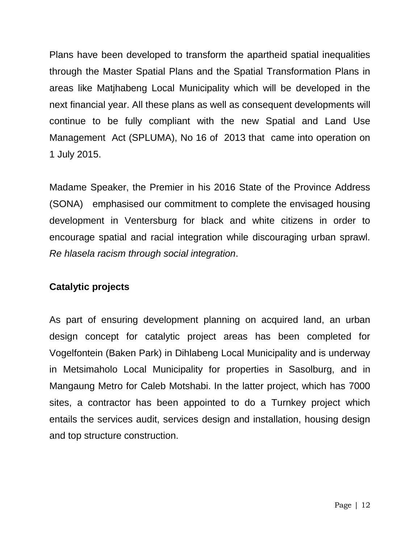Plans have been developed to transform the apartheid spatial inequalities through the Master Spatial Plans and the Spatial Transformation Plans in areas like Matjhabeng Local Municipality which will be developed in the next financial year. All these plans as well as consequent developments will continue to be fully compliant with the new Spatial and Land Use Management Act (SPLUMA), No 16 of 2013 that came into operation on 1 July 2015.

Madame Speaker, the Premier in his 2016 State of the Province Address (SONA) emphasised our commitment to complete the envisaged housing development in Ventersburg for black and white citizens in order to encourage spatial and racial integration while discouraging urban sprawl. *Re hlasela racism through social integration*.

## **Catalytic projects**

As part of ensuring development planning on acquired land, an urban design concept for catalytic project areas has been completed for Vogelfontein (Baken Park) in Dihlabeng Local Municipality and is underway in Metsimaholo Local Municipality for properties in Sasolburg, and in Mangaung Metro for Caleb Motshabi. In the latter project, which has 7000 sites, a contractor has been appointed to do a Turnkey project which entails the services audit, services design and installation, housing design and top structure construction.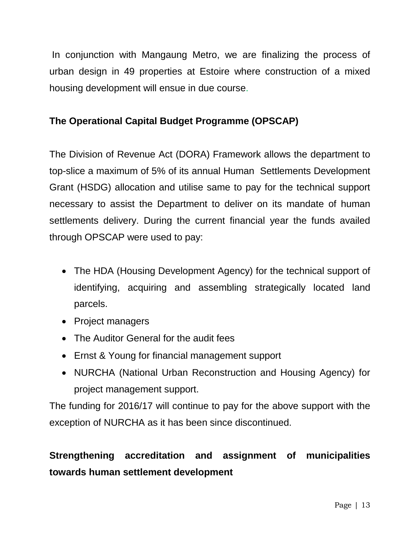In conjunction with Mangaung Metro, we are finalizing the process of urban design in 49 properties at Estoire where construction of a mixed housing development will ensue in due course.

## **The Operational Capital Budget Programme (OPSCAP)**

The Division of Revenue Act (DORA) Framework allows the department to top-slice a maximum of 5% of its annual Human Settlements Development Grant (HSDG) allocation and utilise same to pay for the technical support necessary to assist the Department to deliver on its mandate of human settlements delivery. During the current financial year the funds availed through OPSCAP were used to pay:

- The HDA (Housing Development Agency) for the technical support of identifying, acquiring and assembling strategically located land parcels.
- Project managers
- The Auditor General for the audit fees
- Ernst & Young for financial management support
- NURCHA (National Urban Reconstruction and Housing Agency) for project management support.

The funding for 2016/17 will continue to pay for the above support with the exception of NURCHA as it has been since discontinued.

## **Strengthening accreditation and assignment of municipalities towards human settlement development**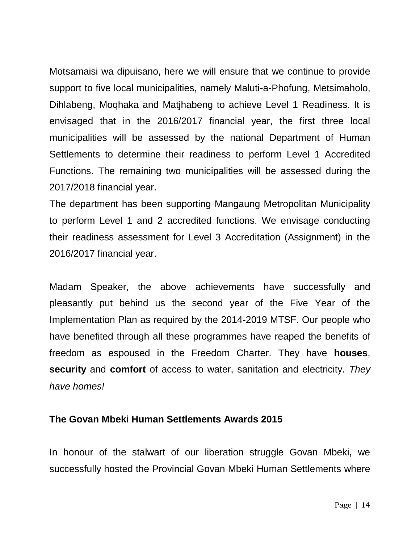Motsamaisi wa dipuisano, here we will ensure that we continue to provide support to five local municipalities, namely Maluti-a-Phofung, Metsimaholo, Dihlabeng, Moqhaka and Matjhabeng to achieve Level 1 Readiness. It is envisaged that in the 2016/2017 financial year, the first three local municipalities will be assessed by the national Department of Human Settlements to determine their readiness to perform Level 1 Accredited Functions. The remaining two municipalities will be assessed during the 2017/2018 financial year.

The department has been supporting Mangaung Metropolitan Municipality to perform Level 1 and 2 accredited functions. We envisage conducting their readiness assessment for Level 3 Accreditation (Assignment) in the 2016/2017 financial year.

Madam Speaker, the above achievements have successfully and pleasantly put behind us the second year of the Five Year of the Implementation Plan as required by the 2014-2019 MTSF. Our people who have benefited through all these programmes have reaped the benefits of freedom as espoused in the Freedom Charter. They have **houses**, **security** and **comfort** of access to water, sanitation and electricity. *They have homes!*

#### **The Govan Mbeki Human Settlements Awards 2015**

In honour of the stalwart of our liberation struggle Govan Mbeki, we successfully hosted the Provincial Govan Mbeki Human Settlements where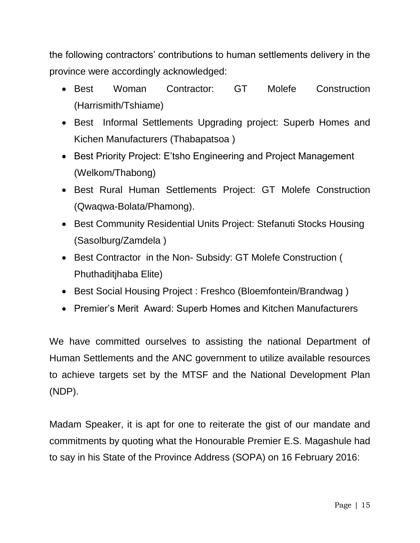the following contractors' contributions to human settlements delivery in the province were accordingly acknowledged:

- Best Woman Contractor: GT Molefe Construction (Harrismith/Tshiame)
- Best Informal Settlements Upgrading project: Superb Homes and Kichen Manufacturers (Thabapatsoa )
- Best Priority Project: E'tsho Engineering and Project Management (Welkom/Thabong)
- Best Rural Human Settlements Project: GT Molefe Construction (Qwaqwa-Bolata/Phamong).
- Best Community Residential Units Project: Stefanuti Stocks Housing (Sasolburg/Zamdela )
- Best Contractor in the Non- Subsidy: GT Molefe Construction ( Phuthaditjhaba Elite)
- Best Social Housing Project : Freshco (Bloemfontein/Brandwag)
- Premier's Merit Award: Superb Homes and Kitchen Manufacturers

We have committed ourselves to assisting the national Department of Human Settlements and the ANC government to utilize available resources to achieve targets set by the MTSF and the National Development Plan (NDP).

Madam Speaker, it is apt for one to reiterate the gist of our mandate and commitments by quoting what the Honourable Premier E.S. Magashule had to say in his State of the Province Address (SOPA) on 16 February 2016: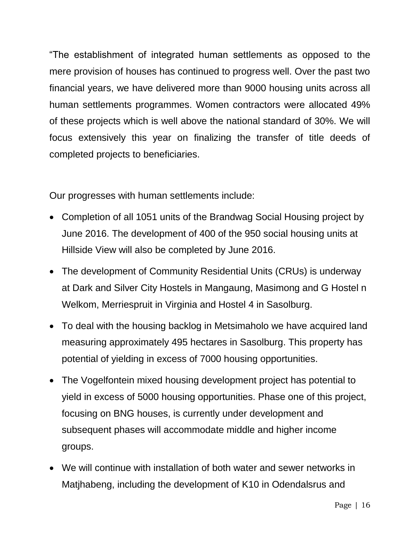"The establishment of integrated human settlements as opposed to the mere provision of houses has continued to progress well. Over the past two financial years, we have delivered more than 9000 housing units across all human settlements programmes. Women contractors were allocated 49% of these projects which is well above the national standard of 30%. We will focus extensively this year on finalizing the transfer of title deeds of completed projects to beneficiaries.

Our progresses with human settlements include:

- Completion of all 1051 units of the Brandwag Social Housing project by June 2016. The development of 400 of the 950 social housing units at Hillside View will also be completed by June 2016.
- The development of Community Residential Units (CRUs) is underway at Dark and Silver City Hostels in Mangaung, Masimong and G Hostel n Welkom, Merriespruit in Virginia and Hostel 4 in Sasolburg.
- To deal with the housing backlog in Metsimaholo we have acquired land measuring approximately 495 hectares in Sasolburg. This property has potential of yielding in excess of 7000 housing opportunities.
- The Vogelfontein mixed housing development project has potential to yield in excess of 5000 housing opportunities. Phase one of this project, focusing on BNG houses, is currently under development and subsequent phases will accommodate middle and higher income groups.
- We will continue with installation of both water and sewer networks in Matjhabeng, including the development of K10 in Odendalsrus and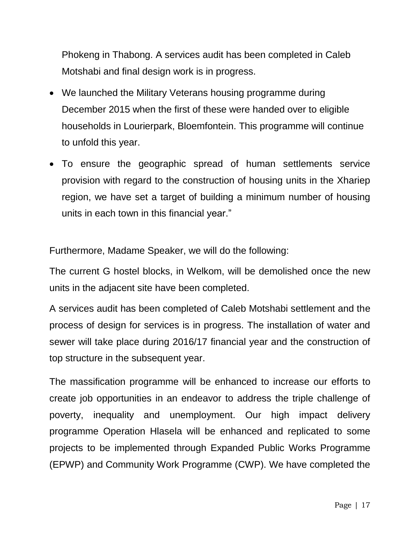Phokeng in Thabong. A services audit has been completed in Caleb Motshabi and final design work is in progress.

- We launched the Military Veterans housing programme during December 2015 when the first of these were handed over to eligible households in Lourierpark, Bloemfontein. This programme will continue to unfold this year.
- To ensure the geographic spread of human settlements service provision with regard to the construction of housing units in the Xhariep region, we have set a target of building a minimum number of housing units in each town in this financial year."

Furthermore, Madame Speaker, we will do the following:

The current G hostel blocks, in Welkom, will be demolished once the new units in the adjacent site have been completed.

A services audit has been completed of Caleb Motshabi settlement and the process of design for services is in progress. The installation of water and sewer will take place during 2016/17 financial year and the construction of top structure in the subsequent year.

The massification programme will be enhanced to increase our efforts to create job opportunities in an endeavor to address the triple challenge of poverty, inequality and unemployment. Our high impact delivery programme Operation Hlasela will be enhanced and replicated to some projects to be implemented through Expanded Public Works Programme (EPWP) and Community Work Programme (CWP). We have completed the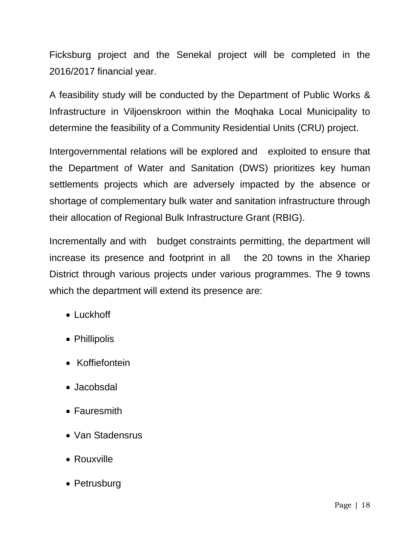Ficksburg project and the Senekal project will be completed in the 2016/2017 financial year.

A feasibility study will be conducted by the Department of Public Works & Infrastructure in Viljoenskroon within the Moqhaka Local Municipality to determine the feasibility of a Community Residential Units (CRU) project.

Intergovernmental relations will be explored and exploited to ensure that the Department of Water and Sanitation (DWS) prioritizes key human settlements projects which are adversely impacted by the absence or shortage of complementary bulk water and sanitation infrastructure through their allocation of Regional Bulk Infrastructure Grant (RBIG).

Incrementally and with budget constraints permitting, the department will increase its presence and footprint in all the 20 towns in the Xhariep District through various projects under various programmes. The 9 towns which the department will extend its presence are:

- Luckhoff
- Phillipolis
- Koffiefontein
- Jacobsdal
- Fauresmith
- Van Stadensrus
- Rouxville
- Petrusburg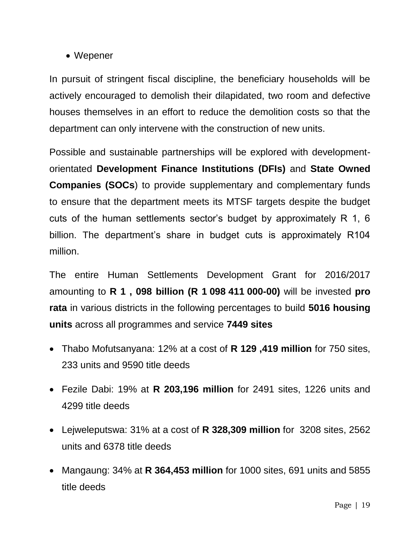## • Wepener

In pursuit of stringent fiscal discipline, the beneficiary households will be actively encouraged to demolish their dilapidated, two room and defective houses themselves in an effort to reduce the demolition costs so that the department can only intervene with the construction of new units.

Possible and sustainable partnerships will be explored with developmentorientated **Development Finance Institutions (DFIs)** and **State Owned Companies (SOCs**) to provide supplementary and complementary funds to ensure that the department meets its MTSF targets despite the budget cuts of the human settlements sector's budget by approximately R 1, 6 billion. The department's share in budget cuts is approximately R104 million.

The entire Human Settlements Development Grant for 2016/2017 amounting to **R 1 , 098 billion (R 1 098 411 000-00)** will be invested **pro rata** in various districts in the following percentages to build **5016 housing units** across all programmes and service **7449 sites**

- Thabo Mofutsanyana: 12% at a cost of **R 129 ,419 million** for 750 sites, 233 units and 9590 title deeds
- Fezile Dabi: 19% at **R 203,196 million** for 2491 sites, 1226 units and 4299 title deeds
- Lejweleputswa: 31% at a cost of **R 328,309 million** for 3208 sites, 2562 units and 6378 title deeds
- Mangaung: 34% at **R 364,453 million** for 1000 sites, 691 units and 5855 title deeds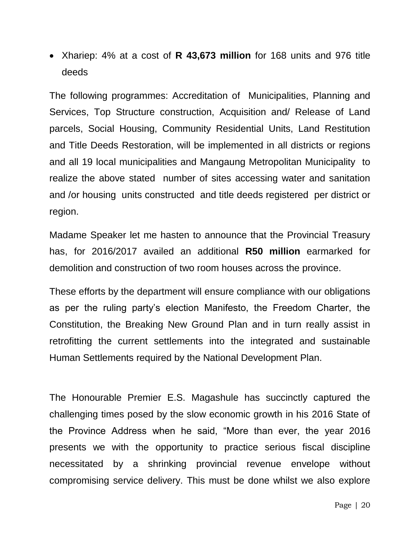Xhariep: 4% at a cost of **R 43,673 million** for 168 units and 976 title deeds

The following programmes: Accreditation of Municipalities, Planning and Services, Top Structure construction, Acquisition and/ Release of Land parcels, Social Housing, Community Residential Units, Land Restitution and Title Deeds Restoration, will be implemented in all districts or regions and all 19 local municipalities and Mangaung Metropolitan Municipality to realize the above stated number of sites accessing water and sanitation and /or housing units constructed and title deeds registered per district or region.

Madame Speaker let me hasten to announce that the Provincial Treasury has, for 2016/2017 availed an additional **R50 million** earmarked for demolition and construction of two room houses across the province.

These efforts by the department will ensure compliance with our obligations as per the ruling party's election Manifesto, the Freedom Charter, the Constitution, the Breaking New Ground Plan and in turn really assist in retrofitting the current settlements into the integrated and sustainable Human Settlements required by the National Development Plan.

The Honourable Premier E.S. Magashule has succinctly captured the challenging times posed by the slow economic growth in his 2016 State of the Province Address when he said, "More than ever, the year 2016 presents we with the opportunity to practice serious fiscal discipline necessitated by a shrinking provincial revenue envelope without compromising service delivery. This must be done whilst we also explore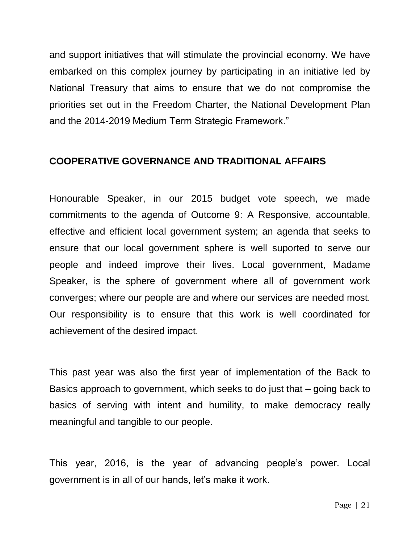and support initiatives that will stimulate the provincial economy. We have embarked on this complex journey by participating in an initiative led by National Treasury that aims to ensure that we do not compromise the priorities set out in the Freedom Charter, the National Development Plan and the 2014-2019 Medium Term Strategic Framework."

#### **COOPERATIVE GOVERNANCE AND TRADITIONAL AFFAIRS**

Honourable Speaker, in our 2015 budget vote speech, we made commitments to the agenda of Outcome 9: A Responsive, accountable, effective and efficient local government system; an agenda that seeks to ensure that our local government sphere is well suported to serve our people and indeed improve their lives. Local government, Madame Speaker, is the sphere of government where all of government work converges; where our people are and where our services are needed most. Our responsibility is to ensure that this work is well coordinated for achievement of the desired impact.

This past year was also the first year of implementation of the Back to Basics approach to government, which seeks to do just that – going back to basics of serving with intent and humility, to make democracy really meaningful and tangible to our people.

This year, 2016, is the year of advancing people's power. Local government is in all of our hands, let's make it work.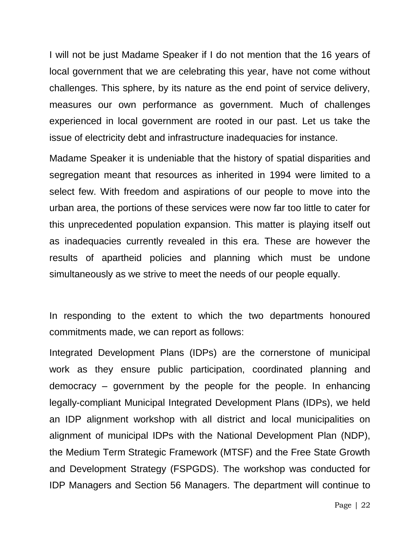I will not be just Madame Speaker if I do not mention that the 16 years of local government that we are celebrating this year, have not come without challenges. This sphere, by its nature as the end point of service delivery, measures our own performance as government. Much of challenges experienced in local government are rooted in our past. Let us take the issue of electricity debt and infrastructure inadequacies for instance.

Madame Speaker it is undeniable that the history of spatial disparities and segregation meant that resources as inherited in 1994 were limited to a select few. With freedom and aspirations of our people to move into the urban area, the portions of these services were now far too little to cater for this unprecedented population expansion. This matter is playing itself out as inadequacies currently revealed in this era. These are however the results of apartheid policies and planning which must be undone simultaneously as we strive to meet the needs of our people equally.

In responding to the extent to which the two departments honoured commitments made, we can report as follows:

Integrated Development Plans (IDPs) are the cornerstone of municipal work as they ensure public participation, coordinated planning and democracy – government by the people for the people. In enhancing legally-compliant Municipal Integrated Development Plans (IDPs), we held an IDP alignment workshop with all district and local municipalities on alignment of municipal IDPs with the National Development Plan (NDP), the Medium Term Strategic Framework (MTSF) and the Free State Growth and Development Strategy (FSPGDS). The workshop was conducted for IDP Managers and Section 56 Managers. The department will continue to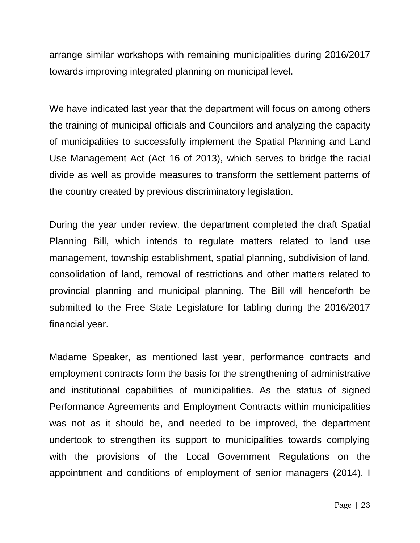arrange similar workshops with remaining municipalities during 2016/2017 towards improving integrated planning on municipal level.

We have indicated last year that the department will focus on among others the training of municipal officials and Councilors and analyzing the capacity of municipalities to successfully implement the Spatial Planning and Land Use Management Act (Act 16 of 2013), which serves to bridge the racial divide as well as provide measures to transform the settlement patterns of the country created by previous discriminatory legislation.

During the year under review, the department completed the draft Spatial Planning Bill, which intends to regulate matters related to land use management, township establishment, spatial planning, subdivision of land, consolidation of land, removal of restrictions and other matters related to provincial planning and municipal planning. The Bill will henceforth be submitted to the Free State Legislature for tabling during the 2016/2017 financial year.

Madame Speaker, as mentioned last year, performance contracts and employment contracts form the basis for the strengthening of administrative and institutional capabilities of municipalities. As the status of signed Performance Agreements and Employment Contracts within municipalities was not as it should be, and needed to be improved, the department undertook to strengthen its support to municipalities towards complying with the provisions of the Local Government Regulations on the appointment and conditions of employment of senior managers (2014). I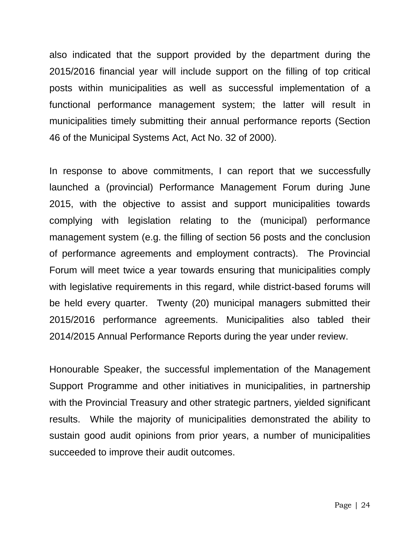also indicated that the support provided by the department during the 2015/2016 financial year will include support on the filling of top critical posts within municipalities as well as successful implementation of a functional performance management system; the latter will result in municipalities timely submitting their annual performance reports (Section 46 of the Municipal Systems Act, Act No. 32 of 2000).

In response to above commitments, I can report that we successfully launched a (provincial) Performance Management Forum during June 2015, with the objective to assist and support municipalities towards complying with legislation relating to the (municipal) performance management system (e.g. the filling of section 56 posts and the conclusion of performance agreements and employment contracts). The Provincial Forum will meet twice a year towards ensuring that municipalities comply with legislative requirements in this regard, while district-based forums will be held every quarter. Twenty (20) municipal managers submitted their 2015/2016 performance agreements. Municipalities also tabled their 2014/2015 Annual Performance Reports during the year under review.

Honourable Speaker, the successful implementation of the Management Support Programme and other initiatives in municipalities, in partnership with the Provincial Treasury and other strategic partners, yielded significant results. While the majority of municipalities demonstrated the ability to sustain good audit opinions from prior years, a number of municipalities succeeded to improve their audit outcomes.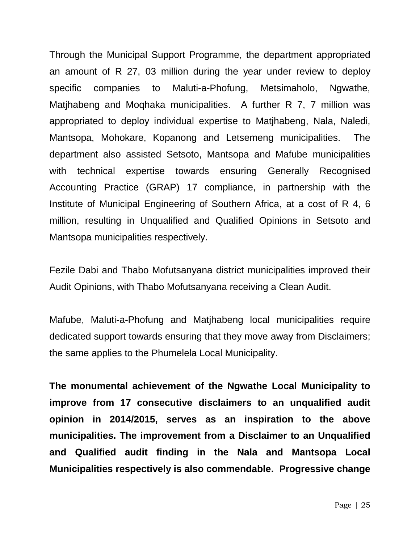Through the Municipal Support Programme, the department appropriated an amount of R 27, 03 million during the year under review to deploy specific companies to Maluti-a-Phofung, Metsimaholo, Ngwathe, Matjhabeng and Moqhaka municipalities. A further R 7, 7 million was appropriated to deploy individual expertise to Matjhabeng, Nala, Naledi, Mantsopa, Mohokare, Kopanong and Letsemeng municipalities. The department also assisted Setsoto, Mantsopa and Mafube municipalities with technical expertise towards ensuring Generally Recognised Accounting Practice (GRAP) 17 compliance, in partnership with the Institute of Municipal Engineering of Southern Africa, at a cost of R 4, 6 million, resulting in Unqualified and Qualified Opinions in Setsoto and Mantsopa municipalities respectively.

Fezile Dabi and Thabo Mofutsanyana district municipalities improved their Audit Opinions, with Thabo Mofutsanyana receiving a Clean Audit.

Mafube, Maluti-a-Phofung and Matjhabeng local municipalities require dedicated support towards ensuring that they move away from Disclaimers; the same applies to the Phumelela Local Municipality.

**The monumental achievement of the Ngwathe Local Municipality to improve from 17 consecutive disclaimers to an unqualified audit opinion in 2014/2015, serves as an inspiration to the above municipalities. The improvement from a Disclaimer to an Unqualified and Qualified audit finding in the Nala and Mantsopa Local Municipalities respectively is also commendable. Progressive change**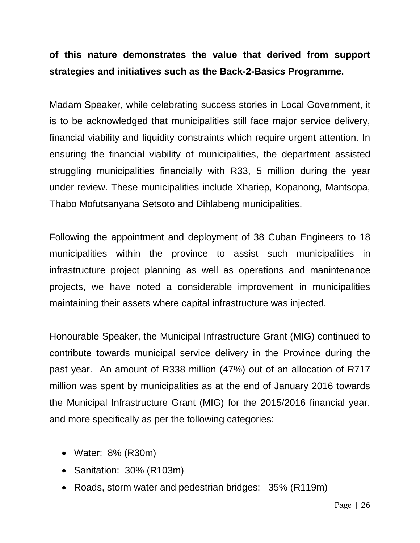## **of this nature demonstrates the value that derived from support strategies and initiatives such as the Back-2-Basics Programme.**

Madam Speaker, while celebrating success stories in Local Government, it is to be acknowledged that municipalities still face major service delivery, financial viability and liquidity constraints which require urgent attention. In ensuring the financial viability of municipalities, the department assisted struggling municipalities financially with R33, 5 million during the year under review. These municipalities include Xhariep, Kopanong, Mantsopa, Thabo Mofutsanyana Setsoto and Dihlabeng municipalities.

Following the appointment and deployment of 38 Cuban Engineers to 18 municipalities within the province to assist such municipalities in infrastructure project planning as well as operations and manintenance projects, we have noted a considerable improvement in municipalities maintaining their assets where capital infrastructure was injected.

Honourable Speaker, the Municipal Infrastructure Grant (MIG) continued to contribute towards municipal service delivery in the Province during the past year. An amount of R338 million (47%) out of an allocation of R717 million was spent by municipalities as at the end of January 2016 towards the Municipal Infrastructure Grant (MIG) for the 2015/2016 financial year, and more specifically as per the following categories:

- Water: 8% (R30m)
- Sanitation: 30% (R103m)
- Roads, storm water and pedestrian bridges: 35% (R119m)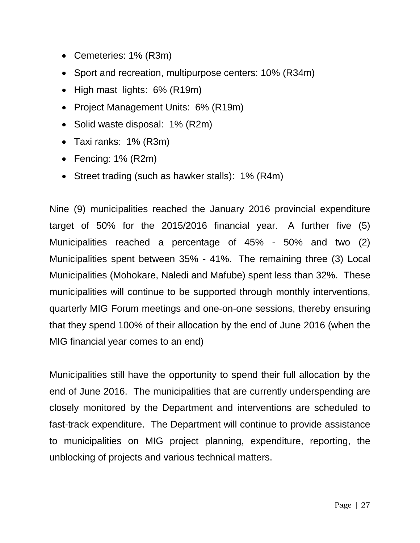- Cemeteries: 1% (R3m)
- Sport and recreation, multipurpose centers: 10% (R34m)
- High mast lights: 6% (R19m)
- Project Management Units: 6% (R19m)
- Solid waste disposal: 1% (R2m)
- Taxi ranks: 1% (R3m)
- Fencing: 1% (R2m)
- Street trading (such as hawker stalls): 1% (R4m)

Nine (9) municipalities reached the January 2016 provincial expenditure target of 50% for the 2015/2016 financial year. A further five (5) Municipalities reached a percentage of 45% - 50% and two (2) Municipalities spent between 35% - 41%. The remaining three (3) Local Municipalities (Mohokare, Naledi and Mafube) spent less than 32%. These municipalities will continue to be supported through monthly interventions, quarterly MIG Forum meetings and one-on-one sessions, thereby ensuring that they spend 100% of their allocation by the end of June 2016 (when the MIG financial year comes to an end)

Municipalities still have the opportunity to spend their full allocation by the end of June 2016. The municipalities that are currently underspending are closely monitored by the Department and interventions are scheduled to fast-track expenditure. The Department will continue to provide assistance to municipalities on MIG project planning, expenditure, reporting, the unblocking of projects and various technical matters.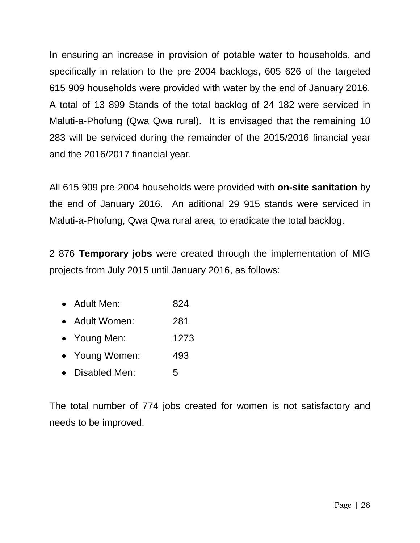In ensuring an increase in provision of potable water to households, and specifically in relation to the pre-2004 backlogs, 605 626 of the targeted 615 909 households were provided with water by the end of January 2016. A total of 13 899 Stands of the total backlog of 24 182 were serviced in Maluti-a-Phofung (Qwa Qwa rural). It is envisaged that the remaining 10 283 will be serviced during the remainder of the 2015/2016 financial year and the 2016/2017 financial year.

All 615 909 pre-2004 households were provided with **on-site sanitation** by the end of January 2016. An aditional 29 915 stands were serviced in Maluti-a-Phofung, Qwa Qwa rural area, to eradicate the total backlog.

2 876 **Temporary jobs** were created through the implementation of MIG projects from July 2015 until January 2016, as follows:

- Adult Men: 824
- Adult Women: 281
- Young Men: 1273
- Young Women: 493
- Disabled Men: 5

The total number of 774 jobs created for women is not satisfactory and needs to be improved.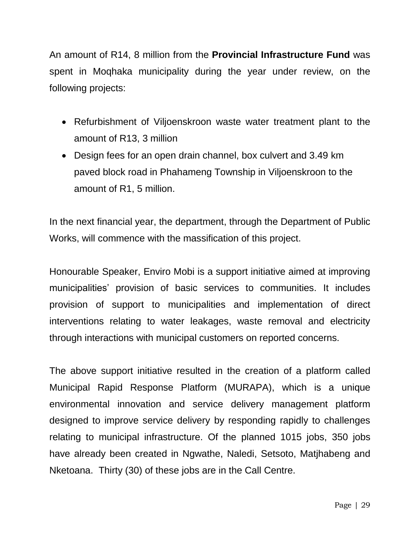An amount of R14, 8 million from the **Provincial Infrastructure Fund** was spent in Moqhaka municipality during the year under review, on the following projects:

- Refurbishment of Viljoenskroon waste water treatment plant to the amount of R13, 3 million
- Design fees for an open drain channel, box culvert and 3.49 km paved block road in Phahameng Township in Viljoenskroon to the amount of R1, 5 million.

In the next financial year, the department, through the Department of Public Works, will commence with the massification of this project.

Honourable Speaker, Enviro Mobi is a support initiative aimed at improving municipalities' provision of basic services to communities. It includes provision of support to municipalities and implementation of direct interventions relating to water leakages, waste removal and electricity through interactions with municipal customers on reported concerns.

The above support initiative resulted in the creation of a platform called Municipal Rapid Response Platform (MURAPA), which is a unique environmental innovation and service delivery management platform designed to improve service delivery by responding rapidly to challenges relating to municipal infrastructure. Of the planned 1015 jobs, 350 jobs have already been created in Ngwathe, Naledi, Setsoto, Matjhabeng and Nketoana. Thirty (30) of these jobs are in the Call Centre.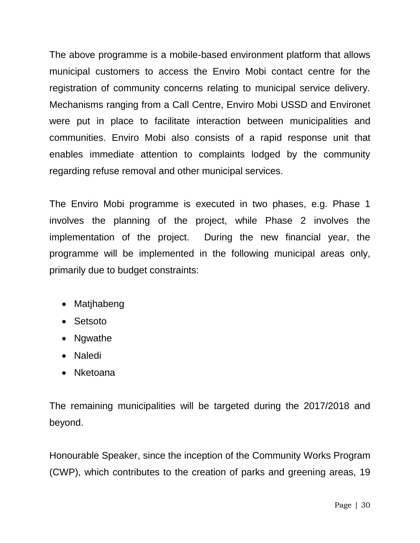The above programme is a mobile-based environment platform that allows municipal customers to access the Enviro Mobi contact centre for the registration of community concerns relating to municipal service delivery. Mechanisms ranging from a Call Centre, Enviro Mobi USSD and Environet were put in place to facilitate interaction between municipalities and communities. Enviro Mobi also consists of a rapid response unit that enables immediate attention to complaints lodged by the community regarding refuse removal and other municipal services.

The Enviro Mobi programme is executed in two phases, e.g. Phase 1 involves the planning of the project, while Phase 2 involves the implementation of the project. During the new financial year, the programme will be implemented in the following municipal areas only, primarily due to budget constraints:

- Matjhabeng
- Setsoto
- Ngwathe
- Naledi
- Nketoana

The remaining municipalities will be targeted during the 2017/2018 and beyond.

Honourable Speaker, since the inception of the Community Works Program (CWP), which contributes to the creation of parks and greening areas, 19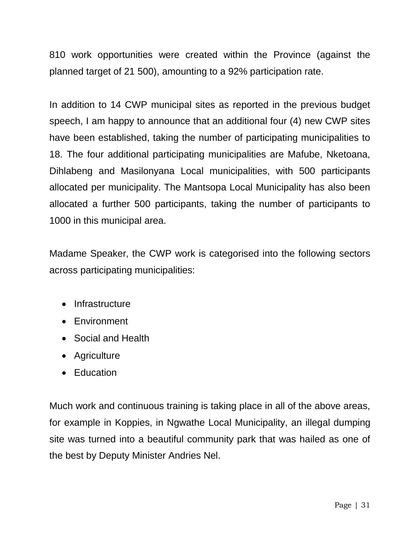810 work opportunities were created within the Province (against the planned target of 21 500), amounting to a 92% participation rate.

In addition to 14 CWP municipal sites as reported in the previous budget speech, I am happy to announce that an additional four (4) new CWP sites have been established, taking the number of participating municipalities to 18. The four additional participating municipalities are Mafube, Nketoana, Dihlabeng and Masilonyana Local municipalities, with 500 participants allocated per municipality. The Mantsopa Local Municipality has also been allocated a further 500 participants, taking the number of participants to 1000 in this municipal area.

Madame Speaker, the CWP work is categorised into the following sectors across participating municipalities:

- Infrastructure
- Environment
- Social and Health
- Agriculture
- Education

Much work and continuous training is taking place in all of the above areas, for example in Koppies, in Ngwathe Local Municipality, an illegal dumping site was turned into a beautiful community park that was hailed as one of the best by Deputy Minister Andries Nel.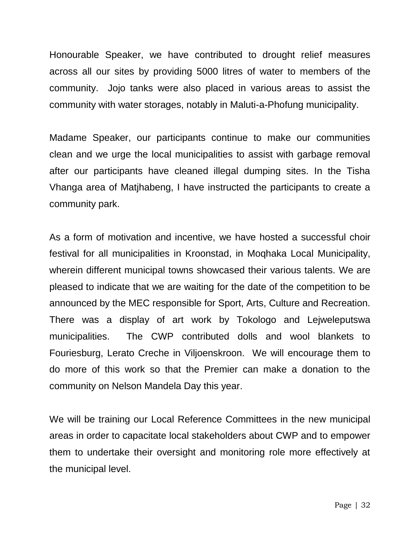Honourable Speaker, we have contributed to drought relief measures across all our sites by providing 5000 litres of water to members of the community. Jojo tanks were also placed in various areas to assist the community with water storages, notably in Maluti-a-Phofung municipality.

Madame Speaker, our participants continue to make our communities clean and we urge the local municipalities to assist with garbage removal after our participants have cleaned illegal dumping sites. In the Tisha Vhanga area of Matjhabeng, I have instructed the participants to create a community park.

As a form of motivation and incentive, we have hosted a successful choir festival for all municipalities in Kroonstad, in Moqhaka Local Municipality, wherein different municipal towns showcased their various talents. We are pleased to indicate that we are waiting for the date of the competition to be announced by the MEC responsible for Sport, Arts, Culture and Recreation. There was a display of art work by Tokologo and Lejweleputswa municipalities. The CWP contributed dolls and wool blankets to Fouriesburg, Lerato Creche in Viljoenskroon. We will encourage them to do more of this work so that the Premier can make a donation to the community on Nelson Mandela Day this year.

We will be training our Local Reference Committees in the new municipal areas in order to capacitate local stakeholders about CWP and to empower them to undertake their oversight and monitoring role more effectively at the municipal level.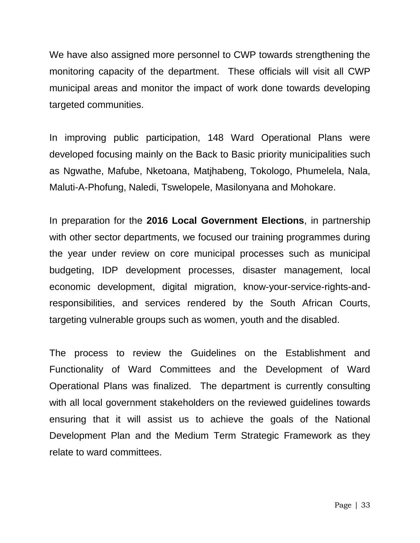We have also assigned more personnel to CWP towards strengthening the monitoring capacity of the department. These officials will visit all CWP municipal areas and monitor the impact of work done towards developing targeted communities.

In improving public participation, 148 Ward Operational Plans were developed focusing mainly on the Back to Basic priority municipalities such as Ngwathe, Mafube, Nketoana, Matjhabeng, Tokologo, Phumelela, Nala, Maluti-A-Phofung, Naledi, Tswelopele, Masilonyana and Mohokare.

In preparation for the **2016 Local Government Elections**, in partnership with other sector departments, we focused our training programmes during the year under review on core municipal processes such as municipal budgeting, IDP development processes, disaster management, local economic development, digital migration, know-your-service-rights-andresponsibilities, and services rendered by the South African Courts, targeting vulnerable groups such as women, youth and the disabled.

The process to review the Guidelines on the Establishment and Functionality of Ward Committees and the Development of Ward Operational Plans was finalized. The department is currently consulting with all local government stakeholders on the reviewed guidelines towards ensuring that it will assist us to achieve the goals of the National Development Plan and the Medium Term Strategic Framework as they relate to ward committees.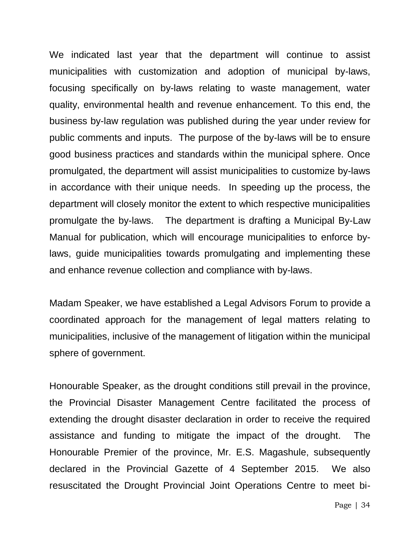We indicated last year that the department will continue to assist municipalities with customization and adoption of municipal by-laws, focusing specifically on by-laws relating to waste management, water quality, environmental health and revenue enhancement. To this end, the business by-law regulation was published during the year under review for public comments and inputs. The purpose of the by-laws will be to ensure good business practices and standards within the municipal sphere. Once promulgated, the department will assist municipalities to customize by-laws in accordance with their unique needs. In speeding up the process, the department will closely monitor the extent to which respective municipalities promulgate the by-laws. The department is drafting a Municipal By-Law Manual for publication, which will encourage municipalities to enforce bylaws, guide municipalities towards promulgating and implementing these and enhance revenue collection and compliance with by-laws.

Madam Speaker, we have established a Legal Advisors Forum to provide a coordinated approach for the management of legal matters relating to municipalities, inclusive of the management of litigation within the municipal sphere of government.

Honourable Speaker, as the drought conditions still prevail in the province, the Provincial Disaster Management Centre facilitated the process of extending the drought disaster declaration in order to receive the required assistance and funding to mitigate the impact of the drought. The Honourable Premier of the province, Mr. E.S. Magashule, subsequently declared in the Provincial Gazette of 4 September 2015. We also resuscitated the Drought Provincial Joint Operations Centre to meet bi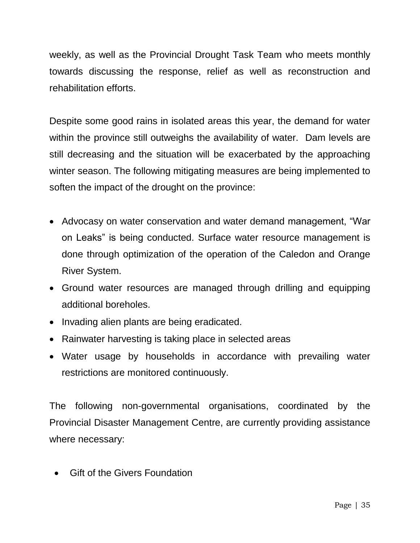weekly, as well as the Provincial Drought Task Team who meets monthly towards discussing the response, relief as well as reconstruction and rehabilitation efforts.

Despite some good rains in isolated areas this year, the demand for water within the province still outweighs the availability of water. Dam levels are still decreasing and the situation will be exacerbated by the approaching winter season. The following mitigating measures are being implemented to soften the impact of the drought on the province:

- Advocasy on water conservation and water demand management, "War on Leaks" is being conducted. Surface water resource management is done through optimization of the operation of the Caledon and Orange River System.
- Ground water resources are managed through drilling and equipping additional boreholes.
- Invading alien plants are being eradicated.
- Rainwater harvesting is taking place in selected areas
- Water usage by households in accordance with prevailing water restrictions are monitored continuously.

The following non-governmental organisations, coordinated by the Provincial Disaster Management Centre, are currently providing assistance where necessary:

Gift of the Givers Foundation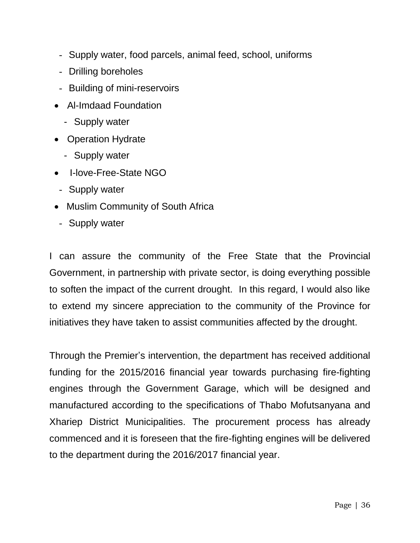- Supply water, food parcels, animal feed, school, uniforms
- Drilling boreholes
- Building of mini-reservoirs
- Al-Imdaad Foundation
	- Supply water
- Operation Hydrate
	- Supply water
- I-love-Free-State NGO
- Supply water
- Muslim Community of South Africa
- Supply water

I can assure the community of the Free State that the Provincial Government, in partnership with private sector, is doing everything possible to soften the impact of the current drought. In this regard, I would also like to extend my sincere appreciation to the community of the Province for initiatives they have taken to assist communities affected by the drought.

Through the Premier's intervention, the department has received additional funding for the 2015/2016 financial year towards purchasing fire-fighting engines through the Government Garage, which will be designed and manufactured according to the specifications of Thabo Mofutsanyana and Xhariep District Municipalities. The procurement process has already commenced and it is foreseen that the fire-fighting engines will be delivered to the department during the 2016/2017 financial year.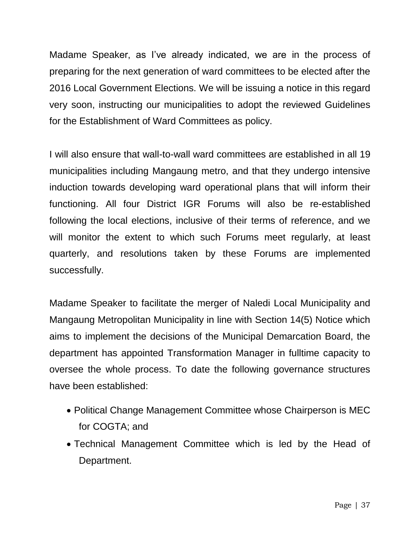Madame Speaker, as I've already indicated, we are in the process of preparing for the next generation of ward committees to be elected after the 2016 Local Government Elections. We will be issuing a notice in this regard very soon, instructing our municipalities to adopt the reviewed Guidelines for the Establishment of Ward Committees as policy.

I will also ensure that wall-to-wall ward committees are established in all 19 municipalities including Mangaung metro, and that they undergo intensive induction towards developing ward operational plans that will inform their functioning. All four District IGR Forums will also be re-established following the local elections, inclusive of their terms of reference, and we will monitor the extent to which such Forums meet regularly, at least quarterly, and resolutions taken by these Forums are implemented successfully.

Madame Speaker to facilitate the merger of Naledi Local Municipality and Mangaung Metropolitan Municipality in line with Section 14(5) Notice which aims to implement the decisions of the Municipal Demarcation Board, the department has appointed Transformation Manager in fulltime capacity to oversee the whole process. To date the following governance structures have been established:

- Political Change Management Committee whose Chairperson is MEC for COGTA; and
- Technical Management Committee which is led by the Head of Department.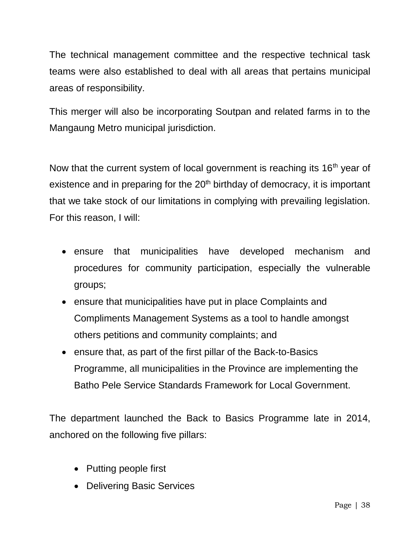The technical management committee and the respective technical task teams were also established to deal with all areas that pertains municipal areas of responsibility.

This merger will also be incorporating Soutpan and related farms in to the Mangaung Metro municipal jurisdiction.

Now that the current system of local government is reaching its  $16<sup>th</sup>$  year of existence and in preparing for the  $20<sup>th</sup>$  birthday of democracy, it is important that we take stock of our limitations in complying with prevailing legislation. For this reason, I will:

- ensure that municipalities have developed mechanism and procedures for community participation, especially the vulnerable groups;
- ensure that municipalities have put in place Complaints and Compliments Management Systems as a tool to handle amongst others petitions and community complaints; and
- ensure that, as part of the first pillar of the Back-to-Basics Programme, all municipalities in the Province are implementing the Batho Pele Service Standards Framework for Local Government.

The department launched the Back to Basics Programme late in 2014, anchored on the following five pillars:

- Putting people first
- Delivering Basic Services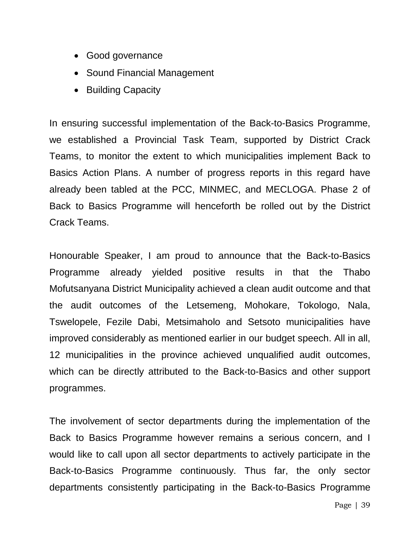- Good governance
- Sound Financial Management
- Building Capacity

In ensuring successful implementation of the Back-to-Basics Programme, we established a Provincial Task Team, supported by District Crack Teams, to monitor the extent to which municipalities implement Back to Basics Action Plans. A number of progress reports in this regard have already been tabled at the PCC, MINMEC, and MECLOGA. Phase 2 of Back to Basics Programme will henceforth be rolled out by the District Crack Teams.

Honourable Speaker, I am proud to announce that the Back-to-Basics Programme already yielded positive results in that the Thabo Mofutsanyana District Municipality achieved a clean audit outcome and that the audit outcomes of the Letsemeng, Mohokare, Tokologo, Nala, Tswelopele, Fezile Dabi, Metsimaholo and Setsoto municipalities have improved considerably as mentioned earlier in our budget speech. All in all, 12 municipalities in the province achieved unqualified audit outcomes, which can be directly attributed to the Back-to-Basics and other support programmes.

The involvement of sector departments during the implementation of the Back to Basics Programme however remains a serious concern, and I would like to call upon all sector departments to actively participate in the Back-to-Basics Programme continuously. Thus far, the only sector departments consistently participating in the Back-to-Basics Programme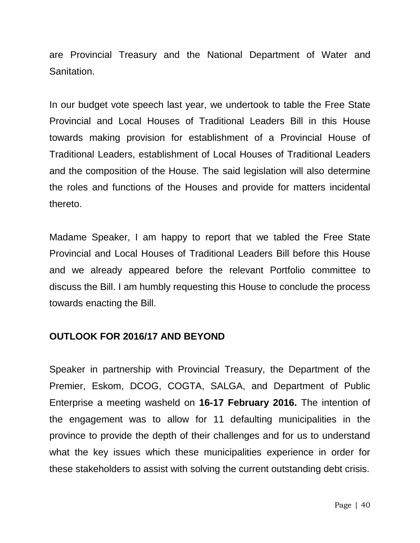are Provincial Treasury and the National Department of Water and Sanitation.

In our budget vote speech last year, we undertook to table the Free State Provincial and Local Houses of Traditional Leaders Bill in this House towards making provision for establishment of a Provincial House of Traditional Leaders, establishment of Local Houses of Traditional Leaders and the composition of the House. The said legislation will also determine the roles and functions of the Houses and provide for matters incidental thereto.

Madame Speaker, I am happy to report that we tabled the Free State Provincial and Local Houses of Traditional Leaders Bill before this House and we already appeared before the relevant Portfolio committee to discuss the Bill. I am humbly requesting this House to conclude the process towards enacting the Bill.

## **OUTLOOK FOR 2016/17 AND BEYOND**

Speaker in partnership with Provincial Treasury, the Department of the Premier, Eskom, DCOG, COGTA, SALGA, and Department of Public Enterprise a meeting washeld on **16-17 February 2016.** The intention of the engagement was to allow for 11 defaulting municipalities in the province to provide the depth of their challenges and for us to understand what the key issues which these municipalities experience in order for these stakeholders to assist with solving the current outstanding debt crisis.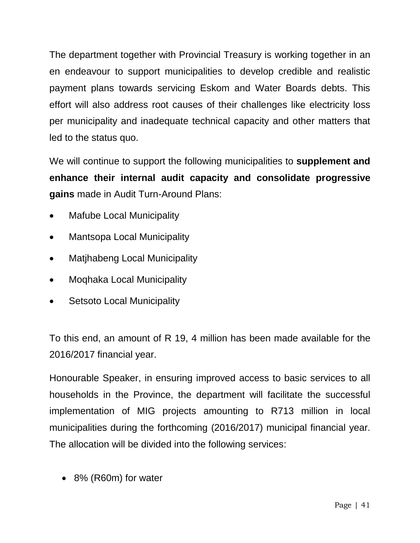The department together with Provincial Treasury is working together in an en endeavour to support municipalities to develop credible and realistic payment plans towards servicing Eskom and Water Boards debts. This effort will also address root causes of their challenges like electricity loss per municipality and inadequate technical capacity and other matters that led to the status quo.

We will continue to support the following municipalities to **supplement and enhance their internal audit capacity and consolidate progressive gains** made in Audit Turn-Around Plans:

- Mafube Local Municipality
- Mantsopa Local Municipality
- Matjhabeng Local Municipality
- Moqhaka Local Municipality
- Setsoto Local Municipality

To this end, an amount of R 19, 4 million has been made available for the 2016/2017 financial year.

Honourable Speaker, in ensuring improved access to basic services to all households in the Province, the department will facilitate the successful implementation of MIG projects amounting to R713 million in local municipalities during the forthcoming (2016/2017) municipal financial year. The allocation will be divided into the following services:

8% (R60m) for water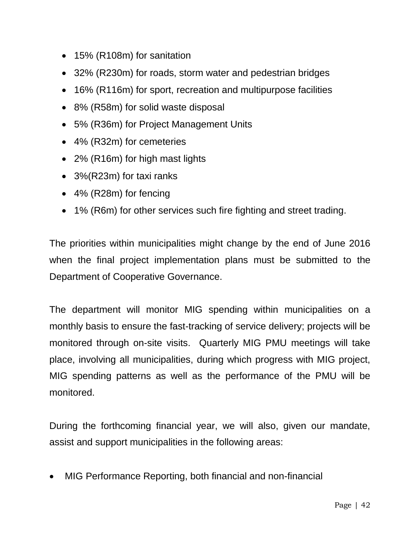- 15% (R108m) for sanitation
- 32% (R230m) for roads, storm water and pedestrian bridges
- 16% (R116m) for sport, recreation and multipurpose facilities
- 8% (R58m) for solid waste disposal
- 5% (R36m) for Project Management Units
- 4% (R32m) for cemeteries
- 2% (R16m) for high mast lights
- 3%(R23m) for taxi ranks
- 4% (R28m) for fencing
- 1% (R6m) for other services such fire fighting and street trading.

The priorities within municipalities might change by the end of June 2016 when the final project implementation plans must be submitted to the Department of Cooperative Governance.

The department will monitor MIG spending within municipalities on a monthly basis to ensure the fast-tracking of service delivery; projects will be monitored through on-site visits. Quarterly MIG PMU meetings will take place, involving all municipalities, during which progress with MIG project, MIG spending patterns as well as the performance of the PMU will be monitored.

During the forthcoming financial year, we will also, given our mandate, assist and support municipalities in the following areas:

MIG Performance Reporting, both financial and non-financial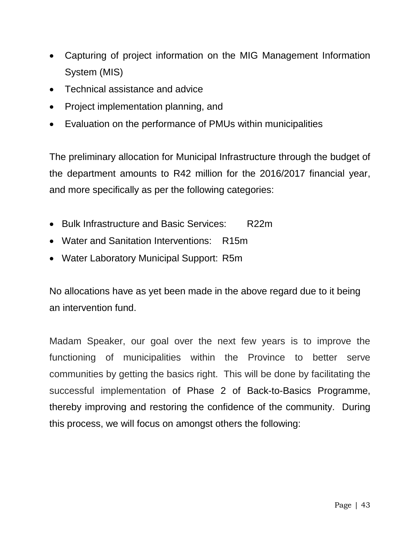- Capturing of project information on the MIG Management Information System (MIS)
- Technical assistance and advice
- Project implementation planning, and
- Evaluation on the performance of PMUs within municipalities

The preliminary allocation for Municipal Infrastructure through the budget of the department amounts to R42 million for the 2016/2017 financial year, and more specifically as per the following categories:

- Bulk Infrastructure and Basic Services: R22m
- Water and Sanitation Interventions: R15m
- Water Laboratory Municipal Support: R5m

No allocations have as yet been made in the above regard due to it being an intervention fund.

Madam Speaker, our goal over the next few years is to improve the functioning of municipalities within the Province to better serve communities by getting the basics right. This will be done by facilitating the successful implementation of Phase 2 of Back-to-Basics Programme, thereby improving and restoring the confidence of the community. During this process, we will focus on amongst others the following: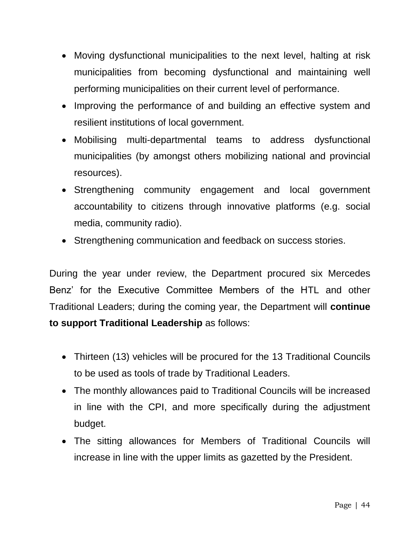- Moving dysfunctional municipalities to the next level, halting at risk municipalities from becoming dysfunctional and maintaining well performing municipalities on their current level of performance.
- Improving the performance of and building an effective system and resilient institutions of local government.
- Mobilising multi-departmental teams to address dysfunctional municipalities (by amongst others mobilizing national and provincial resources).
- Strengthening community engagement and local government accountability to citizens through innovative platforms (e.g. social media, community radio).
- Strengthening communication and feedback on success stories.

During the year under review, the Department procured six Mercedes Benz' for the Executive Committee Members of the HTL and other Traditional Leaders; during the coming year, the Department will **continue to support Traditional Leadership** as follows:

- Thirteen (13) vehicles will be procured for the 13 Traditional Councils to be used as tools of trade by Traditional Leaders.
- The monthly allowances paid to Traditional Councils will be increased in line with the CPI, and more specifically during the adjustment budget.
- The sitting allowances for Members of Traditional Councils will increase in line with the upper limits as gazetted by the President.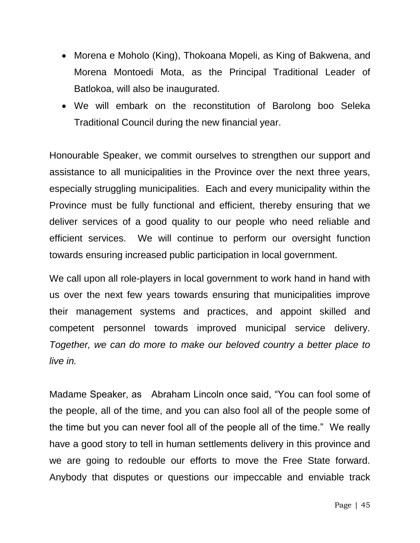- Morena e Moholo (King), Thokoana Mopeli, as King of Bakwena, and Morena Montoedi Mota, as the Principal Traditional Leader of Batlokoa, will also be inaugurated.
- We will embark on the reconstitution of Barolong boo Seleka Traditional Council during the new financial year.

Honourable Speaker, we commit ourselves to strengthen our support and assistance to all municipalities in the Province over the next three years, especially struggling municipalities. Each and every municipality within the Province must be fully functional and efficient, thereby ensuring that we deliver services of a good quality to our people who need reliable and efficient services. We will continue to perform our oversight function towards ensuring increased public participation in local government.

We call upon all role-players in local government to work hand in hand with us over the next few years towards ensuring that municipalities improve their management systems and practices, and appoint skilled and competent personnel towards improved municipal service delivery. *Together, we can do more to make our beloved country a better place to live in.*

Madame Speaker, as Abraham Lincoln once said, "You can fool some of the people, all of the time, and you can also fool all of the people some of the time but you can never fool all of the people all of the time." We really have a good story to tell in human settlements delivery in this province and we are going to redouble our efforts to move the Free State forward. Anybody that disputes or questions our impeccable and enviable track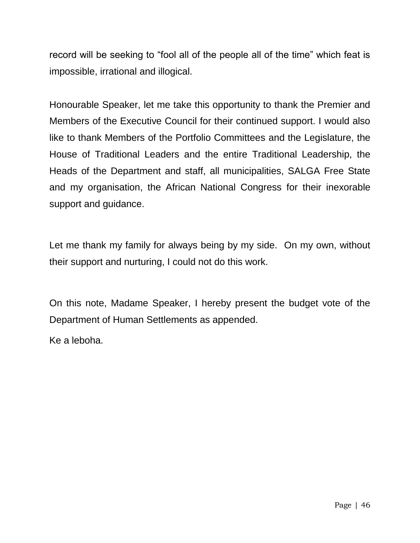record will be seeking to "fool all of the people all of the time" which feat is impossible, irrational and illogical.

Honourable Speaker, let me take this opportunity to thank the Premier and Members of the Executive Council for their continued support. I would also like to thank Members of the Portfolio Committees and the Legislature, the House of Traditional Leaders and the entire Traditional Leadership, the Heads of the Department and staff, all municipalities, SALGA Free State and my organisation, the African National Congress for their inexorable support and guidance.

Let me thank my family for always being by my side. On my own, without their support and nurturing, I could not do this work.

On this note, Madame Speaker, I hereby present the budget vote of the Department of Human Settlements as appended.

Ke a leboha.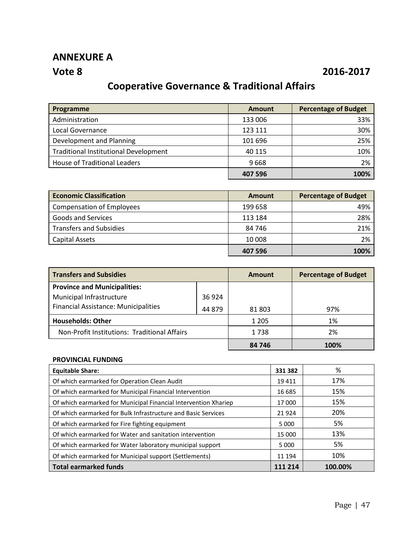## **ANNEXURE A**

## **Vote 8 2016-2017**

## **Cooperative Governance & Traditional Affairs**

| Programme                                    | <b>Amount</b> | <b>Percentage of Budget</b> |
|----------------------------------------------|---------------|-----------------------------|
| Administration                               | 133 006       | 33%                         |
| Local Governance                             | 123 111       | 30%                         |
| Development and Planning                     | 101 696       | 25%                         |
| <b>Traditional Institutional Development</b> | 40 115        | 10%                         |
| <b>House of Traditional Leaders</b>          | 9668          | 2%                          |
|                                              | 407 596       | 100%                        |

| <b>Economic Classification</b>   | Amount  | <b>Percentage of Budget</b> |
|----------------------------------|---------|-----------------------------|
| <b>Compensation of Employees</b> | 199 658 | 49%                         |
| Goods and Services               | 113 184 | 28%                         |
| <b>Transfers and Subsidies</b>   | 84 746  | 21%                         |
| Capital Assets                   | 10 008  | 2%                          |
|                                  | 407 596 | 100%                        |

| <b>Transfers and Subsidies</b>               |         | <b>Amount</b> | <b>Percentage of Budget</b> |  |
|----------------------------------------------|---------|---------------|-----------------------------|--|
| <b>Province and Municipalities:</b>          |         |               |                             |  |
| Municipal Infrastructure                     | 36 9 24 |               |                             |  |
| <b>Financial Assistance: Municipalities</b>  | 44 879  | 81 803        | 97%                         |  |
| <b>Households: Other</b>                     |         | 1 2 0 5       | 1%                          |  |
| Non-Profit Institutions: Traditional Affairs |         | 1738          | 2%                          |  |
|                                              |         | 84 746        | 100%                        |  |

#### **PROVINCIAL FUNDING**

| <b>Equitable Share:</b>                                         | 331 382 | %       |
|-----------------------------------------------------------------|---------|---------|
| Of which earmarked for Operation Clean Audit                    | 19411   | 17%     |
| Of which earmarked for Municipal Financial Intervention         | 16 685  | 15%     |
| Of which earmarked for Municipal Financial Intervention Xhariep | 17000   | 15%     |
| Of which earmarked for Bulk Infrastructure and Basic Services   | 21924   | 20%     |
| Of which earmarked for Fire fighting equipment                  | 5 000   | 5%      |
| Of which earmarked for Water and sanitation intervention        | 15 000  | 13%     |
| Of which earmarked for Water laboratory municipal support       | 5 0 0 0 | 5%      |
| Of which earmarked for Municipal support (Settlements)          | 11 194  | 10%     |
| <b>Total earmarked funds</b>                                    | 111 214 | 100.00% |